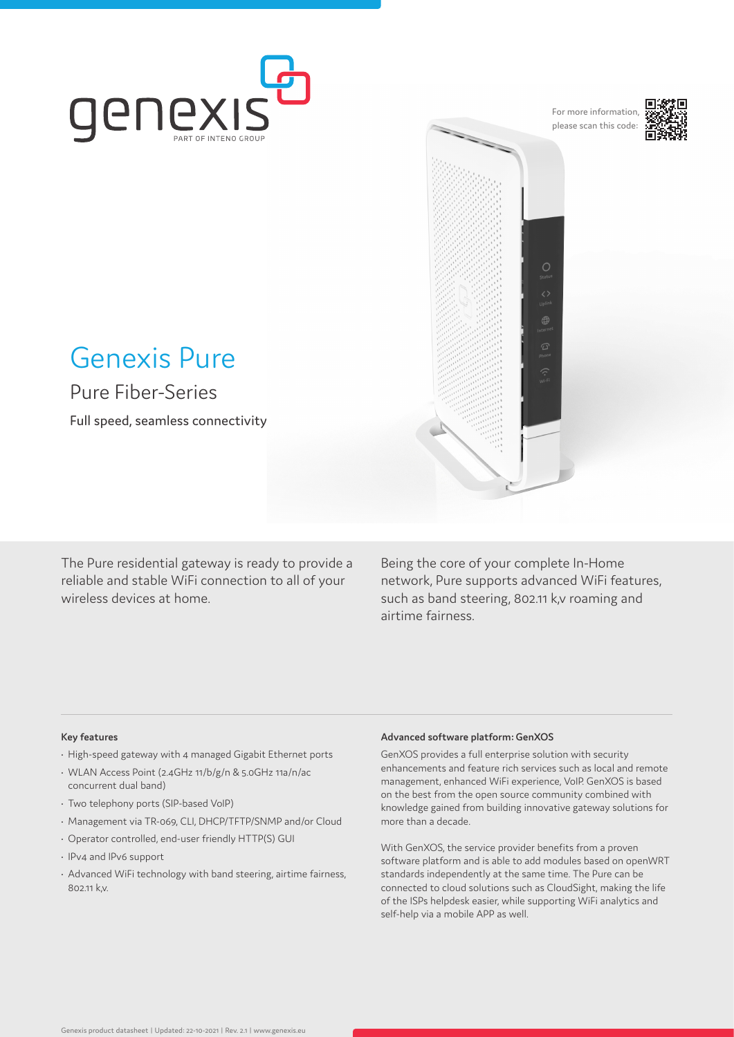

For more information, please scan this code:

 $\circ$ 



# Genexis Pure

Pure Fiber-Series

Full speed, seamless connectivity

The Pure residential gateway is ready to provide a reliable and stable WiFi connection to all of your wireless devices at home.

Being the core of your complete In-Home network, Pure supports advanced WiFi features, such as band steering, 802.11 k,v roaming and airtime fairness.

# **Key features**

- High-speed gateway with 4 managed Gigabit Ethernet ports
- WLAN Access Point (2.4GHz 11/b/g/n & 5.0GHz 11a/n/ac concurrent dual band)
- Two telephony ports (SIP-based VoIP)
- Management via TR-069, CLI, DHCP/TFTP/SNMP and/or Cloud
- Operator controlled, end-user friendly HTTP(S) GUI
- IPv4 and IPv6 support
- Advanced WiFi technology with band steering, airtime fairness, 802.11 k,v.

# **Advanced software platform: GenXOS**

GenXOS provides a full enterprise solution with security enhancements and feature rich services such as local and remote management, enhanced WiFi experience, VoIP. GenXOS is based on the best from the open source community combined with knowledge gained from building innovative gateway solutions for more than a decade.

With GenXOS, the service provider benefits from a proven software platform and is able to add modules based on openWRT standards independently at the same time. The Pure can be connected to cloud solutions such as CloudSight, making the life of the ISPs helpdesk easier, while supporting WiFi analytics and self-help via a mobile APP as well.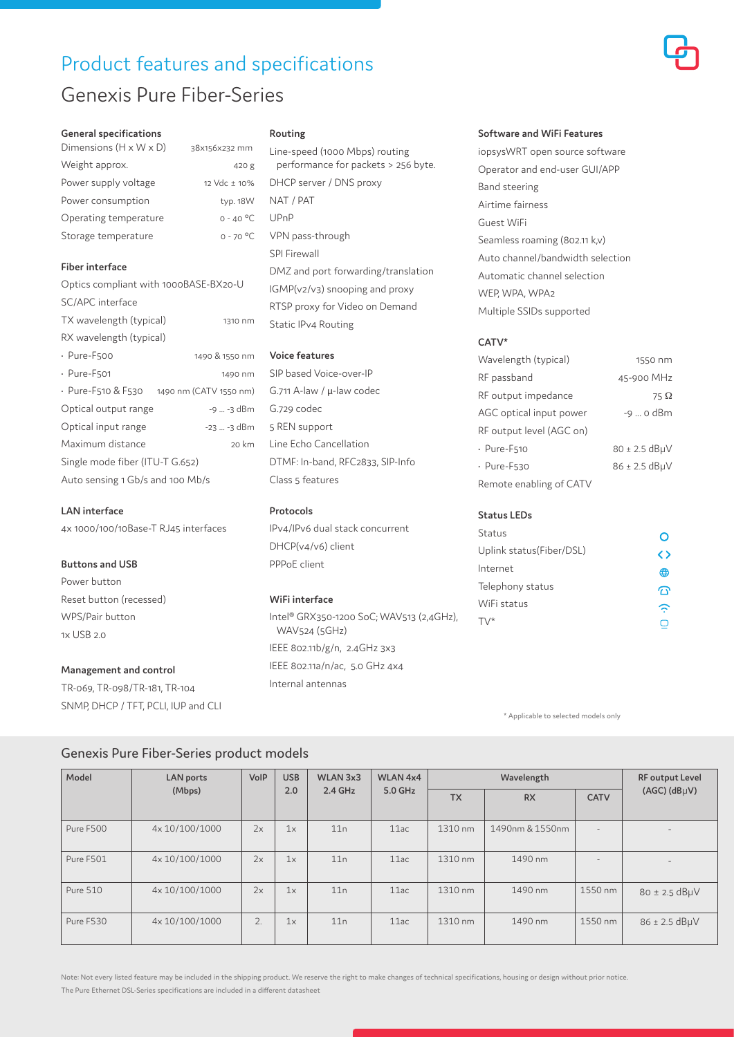# Product features and specifications Genexis Pure Fiber-Series



| Dimensions $(H \times W \times D)$ | 38x156x232 mm |
|------------------------------------|---------------|
| Weight approx.                     | 420 g         |
| Power supply voltage               | 12 Vdc ± 10%  |
| Power consumption                  | typ. 18W      |
| Operating temperature              | $0 - 40 °C$   |
| Storage temperature                | $0 - 70 °C$   |

# **Fiber interface**

| Optics compliant with 1000BASE-BX20-U |                        |  |  |  |  |
|---------------------------------------|------------------------|--|--|--|--|
| SC/APC interface                      |                        |  |  |  |  |
| TX wavelength (typical)<br>1310 nm    |                        |  |  |  |  |
| RX wavelength (typical)               |                        |  |  |  |  |
| · Pure-F500                           | 1490 & 1550 nm         |  |  |  |  |
| $\cdot$ Pure-F501                     | 1490 nm                |  |  |  |  |
| • Pure-F510 & F530                    | 1490 nm (CATV 1550 nm) |  |  |  |  |
| Optical output range                  | -9  -3 dBm             |  |  |  |  |
| Optical input range                   | -23  -3 dBm            |  |  |  |  |
| Maximum distance                      | 20 km                  |  |  |  |  |
| Single mode fiber (ITU-T G.652)       |                        |  |  |  |  |
| Auto sensing 1 Gb/s and 100 Mb/s      |                        |  |  |  |  |

# **LAN interface**

4x 1000/100/10Base-T RJ45 interfaces

# **Buttons and USB**

Power button Reset button (recessed) WPS/Pair button  $1x$  USB  $20$ 

#### **Management and control**

TR-069, TR-098/TR-181, TR-104 SNMP, DHCP / TFT, PCLI, IUP and CLI

#### **Routing**

Line-speed (1000 Mbps) routing performance for packets > 256 byte. DHCP server / DNS proxy NAT / PAT UPnP VPN pass-through SPI Firewall DMZ and port forwarding/translation IGMP(v2/v3) snooping and proxy RTSP proxy for Video on Demand Static IPv4 Routing

# **Voice features**

SIP based Voice-over-IP G.711 A-law / μ-law codec G.729 codec 5 REN support Line Echo Cancellation DTMF: In-band, RFC2833, SIP-Info Class 5 features

# **Protocols**

IPv4/IPv6 dual stack concurrent DHCP(v4/v6) client PPPoE client

# **WiFi interface**

Intel® GRX350-1200 SoC; WAV513 (2,4GHz), WAV524 (5GHz) IEEE 802.11b/g/n, 2.4GHz 3x3 IEEE 802.11a/n/ac, 5.0 GHz 4x4 Internal antennas

#### **Software and WiFi Features**

iopsysWRT open source software Operator and end-user GUI/APP Band steering Airtime fairness Guest WiFi Seamless roaming (802.11 k,v) Auto channel/bandwidth selection Automatic channel selection WEP, WPA, WPA2 Multiple SSIDs supported

# **CATV\***

| Wavelength (typical)     | 1550 nm           |
|--------------------------|-------------------|
| RF passband              | 45-900 MHz        |
| RF output impedance      | 75 $\Omega$       |
| AGC optical input power  | -9  o dBm         |
| RF output level (AGC on) |                   |
| $\cdot$ Pure-F510        | $80 \pm 2.5$ dBµV |
| $\cdot$ Pure-F530        | $86 \pm 2.5$ dBµV |
| Remote enabling of CATV  |                   |

# **Status LEDs**

| Status                   |    |
|--------------------------|----|
| Uplink status(Fiber/DSL) | くゝ |
| Internet                 | ⊕  |
| Telephony status         |    |
| WiFi status              |    |
|                          |    |

\* Applicable to selected models only

| Model           | <b>LAN</b> ports | VoIP | <b>USB</b> | WLAN 3x3  | WLAN 4x4  |           | Wavelength      | RF output Level |                          |
|-----------------|------------------|------|------------|-----------|-----------|-----------|-----------------|-----------------|--------------------------|
|                 | (Mbps)           |      | 2.0        | $2.4$ GHz | $5.0$ GHz | <b>TX</b> | <b>RX</b>       | <b>CATV</b>     | $(AGC)$ $(dBµV)$         |
| Pure F500       | 4x 10/100/1000   | 2x   | 1x         | 11n       | 11ac      | 1310 nm   | 1490nm & 1550nm | ۰               | $\overline{\phantom{a}}$ |
| Pure F501       | 4x 10/100/1000   | 2x   | 1x         | 11n       | 11ac      | 1310 nm   | 1490 nm         |                 | $\sim$                   |
| <b>Pure 510</b> | 4x 10/100/1000   | 2x   | 1x         | 11n       | 11ac      | 1310 nm   | 1490 nm         | 1550 nm         | $80 \pm 2.5$ dB $\mu$ V  |
| Pure F530       | 4x 10/100/1000   | 2.   | 1x         | 11n       | 11ac      | 1310 nm   | 1490 nm         | 1550 nm         | $86 \pm 2.5$ dBµV        |

# Genexis Pure Fiber-Series product models

Note: Not every listed feature may be included in the shipping product. We reserve the right to make changes of technical specifications, housing or design without prior notice. The Pure Ethernet DSL-Series specifications are included in a different datasheet